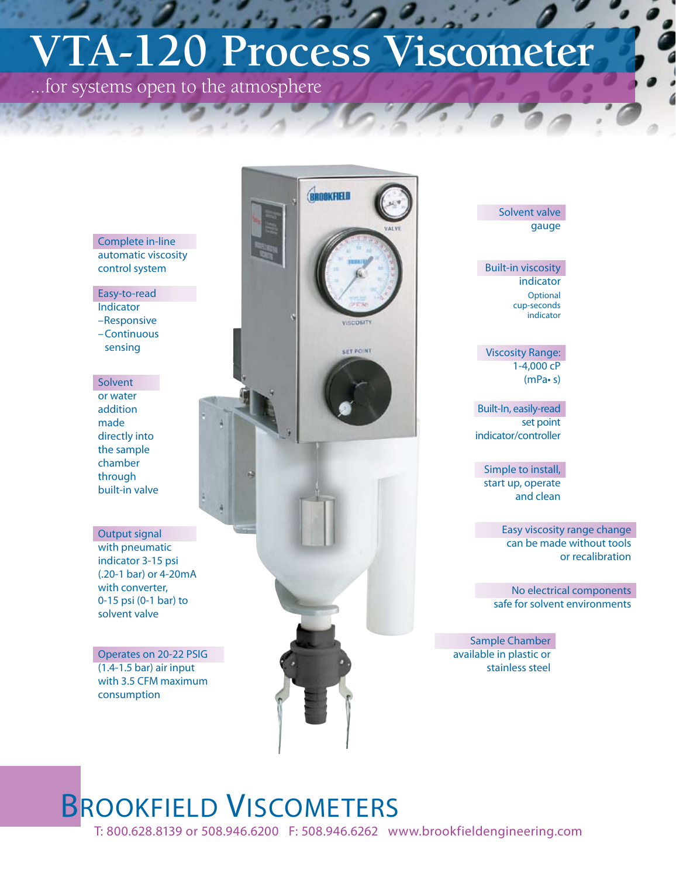# **VTA-120 Process Viscometer**

...for systems open to the atmosphere

BROOKFIELD VISCOSIT **SET POINT** 

#### Complete in-line automatic viscosity control system

Easy-to-read Indicator –Responsive –Continuous sensing

Solvent or water addition made directly into the sample chamber through built-in valve

### Output signal

with pneumatic indicator 3-15 psi (.20-1 bar) or 4-20mA with converter, 0-15 psi (0-1 bar) to solvent valve

Operates on 20-22 PSIG (1.4-1.5 bar) air input with 3.5 CFM maximum consumption

### Solvent valve gauge

Built-in viscosity indicator **Optional** cup-seconds indicator

Viscosity Range: 1-4,000 cP (mPa• s)

Built-In, easily-read set point indicator/controller

Simple to install, start up, operate and clean

> Easy viscosity range change can be made without tools or recalibration

No electrical components safe for solvent environments

Sample Chamber available in plastic or stainless steel

## BROOKFIELD VISCOMETERS

T: 800.628.8139 or 508.946.6200 F: 508.946.6262 www.brookfieldengineering.com